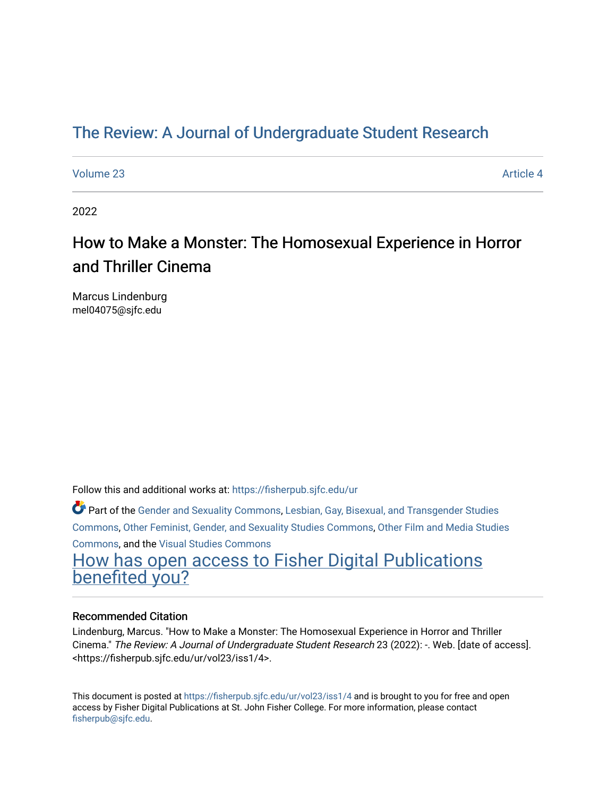# [The Review: A Journal of Undergraduate Student Research](https://fisherpub.sjfc.edu/ur)

[Volume 23](https://fisherpub.sjfc.edu/ur/vol23) Article 4

2022

# How to Make a Monster: The Homosexual Experience in Horror and Thriller Cinema

Marcus Lindenburg mel04075@sjfc.edu

Follow this and additional works at: [https://fisherpub.sjfc.edu/ur](https://fisherpub.sjfc.edu/ur?utm_source=fisherpub.sjfc.edu%2Fur%2Fvol23%2Fiss1%2F4&utm_medium=PDF&utm_campaign=PDFCoverPages) 

Part of the [Gender and Sexuality Commons](http://network.bepress.com/hgg/discipline/420?utm_source=fisherpub.sjfc.edu%2Fur%2Fvol23%2Fiss1%2F4&utm_medium=PDF&utm_campaign=PDFCoverPages), [Lesbian, Gay, Bisexual, and Transgender Studies](http://network.bepress.com/hgg/discipline/560?utm_source=fisherpub.sjfc.edu%2Fur%2Fvol23%2Fiss1%2F4&utm_medium=PDF&utm_campaign=PDFCoverPages) [Commons](http://network.bepress.com/hgg/discipline/560?utm_source=fisherpub.sjfc.edu%2Fur%2Fvol23%2Fiss1%2F4&utm_medium=PDF&utm_campaign=PDFCoverPages), [Other Feminist, Gender, and Sexuality Studies Commons](http://network.bepress.com/hgg/discipline/562?utm_source=fisherpub.sjfc.edu%2Fur%2Fvol23%2Fiss1%2F4&utm_medium=PDF&utm_campaign=PDFCoverPages), [Other Film and Media Studies](http://network.bepress.com/hgg/discipline/565?utm_source=fisherpub.sjfc.edu%2Fur%2Fvol23%2Fiss1%2F4&utm_medium=PDF&utm_campaign=PDFCoverPages) [Commons](http://network.bepress.com/hgg/discipline/565?utm_source=fisherpub.sjfc.edu%2Fur%2Fvol23%2Fiss1%2F4&utm_medium=PDF&utm_campaign=PDFCoverPages), and the [Visual Studies Commons](http://network.bepress.com/hgg/discipline/564?utm_source=fisherpub.sjfc.edu%2Fur%2Fvol23%2Fiss1%2F4&utm_medium=PDF&utm_campaign=PDFCoverPages) 

[How has open access to Fisher Digital Publications](https://docs.google.com/forms/d/14zrnDfH9d1wcdq8oG_-gFabAsxfcH5claltx85ZWyTg/viewform?entry.1394608989=https://fisherpub.sjfc.edu/ur/vol23/iss1/4%3Chttps://docs.google.com/forms/d/14zrnDfH9d1wcdq8oG_-gFabAsxfcH5claltx85ZWyTg/viewform?entry.1394608989=%7bhttps://fisherpub.sjfc.edu/ur/vol23/iss1/4%7d) [benefited you?](https://docs.google.com/forms/d/14zrnDfH9d1wcdq8oG_-gFabAsxfcH5claltx85ZWyTg/viewform?entry.1394608989=https://fisherpub.sjfc.edu/ur/vol23/iss1/4%3Chttps://docs.google.com/forms/d/14zrnDfH9d1wcdq8oG_-gFabAsxfcH5claltx85ZWyTg/viewform?entry.1394608989=%7bhttps://fisherpub.sjfc.edu/ur/vol23/iss1/4%7d)

#### Recommended Citation

Lindenburg, Marcus. "How to Make a Monster: The Homosexual Experience in Horror and Thriller Cinema." The Review: A Journal of Undergraduate Student Research 23 (2022): -. Web. [date of access]. <https://fisherpub.sjfc.edu/ur/vol23/iss1/4>.

This document is posted at <https://fisherpub.sjfc.edu/ur/vol23/iss1/4> and is brought to you for free and open access by Fisher Digital Publications at St. John Fisher College. For more information, please contact [fisherpub@sjfc.edu](mailto:fisherpub@sjfc.edu).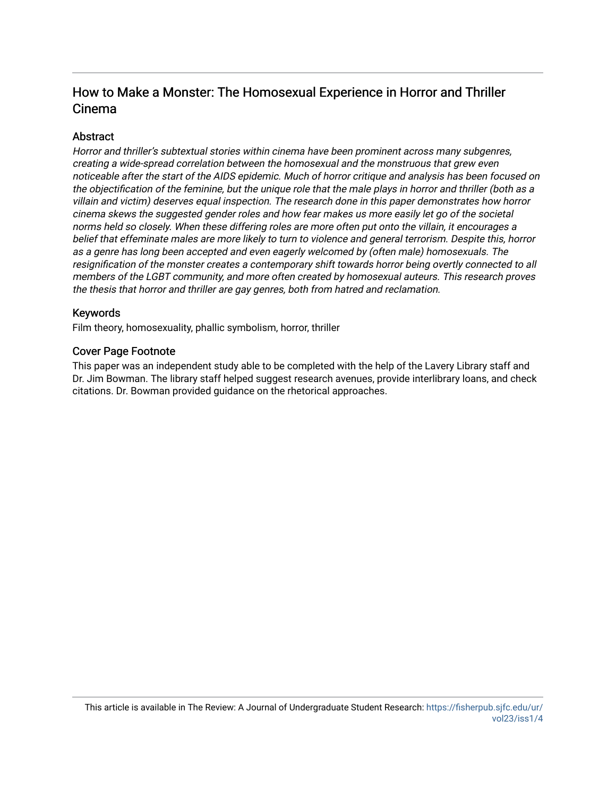# How to Make a Monster: The Homosexual Experience in Horror and Thriller Cinema

#### **Abstract**

Horror and thriller's subtextual stories within cinema have been prominent across many subgenres, creating a wide-spread correlation between the homosexual and the monstruous that grew even noticeable after the start of the AIDS epidemic. Much of horror critique and analysis has been focused on the objectification of the feminine, but the unique role that the male plays in horror and thriller (both as a villain and victim) deserves equal inspection. The research done in this paper demonstrates how horror cinema skews the suggested gender roles and how fear makes us more easily let go of the societal norms held so closely. When these differing roles are more often put onto the villain, it encourages a belief that effeminate males are more likely to turn to violence and general terrorism. Despite this, horror as a genre has long been accepted and even eagerly welcomed by (often male) homosexuals. The resignification of the monster creates a contemporary shift towards horror being overtly connected to all members of the LGBT community, and more often created by homosexual auteurs. This research proves the thesis that horror and thriller are gay genres, both from hatred and reclamation.

#### Keywords

Film theory, homosexuality, phallic symbolism, horror, thriller

#### Cover Page Footnote

This paper was an independent study able to be completed with the help of the Lavery Library staff and Dr. Jim Bowman. The library staff helped suggest research avenues, provide interlibrary loans, and check citations. Dr. Bowman provided guidance on the rhetorical approaches.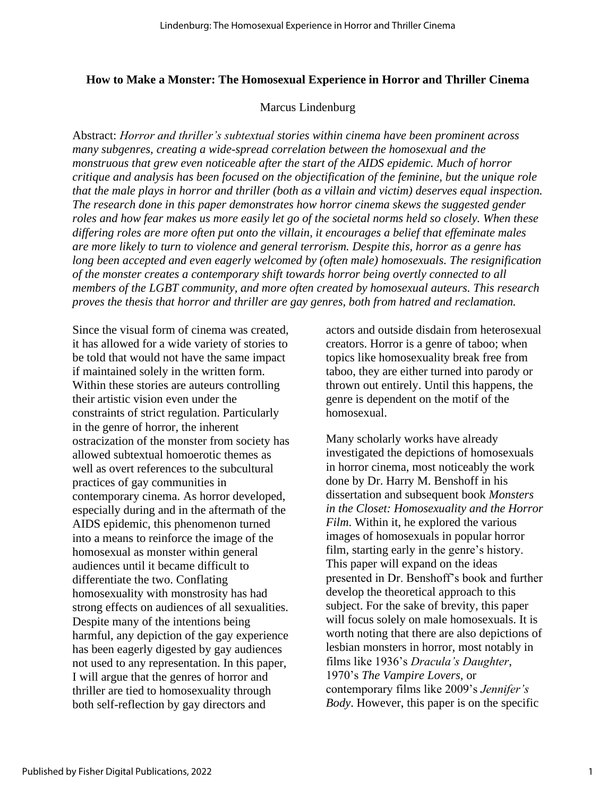#### **How to Make a Monster: The Homosexual Experience in Horror and Thriller Cinema**

#### Marcus Lindenburg

Abstract: *Horror and thriller's subtextual stories within cinema have been prominent across many subgenres, creating a wide-spread correlation between the homosexual and the monstruous that grew even noticeable after the start of the AIDS epidemic. Much of horror critique and analysis has been focused on the objectification of the feminine, but the unique role that the male plays in horror and thriller (both as a villain and victim) deserves equal inspection. The research done in this paper demonstrates how horror cinema skews the suggested gender roles and how fear makes us more easily let go of the societal norms held so closely. When these differing roles are more often put onto the villain, it encourages a belief that effeminate males are more likely to turn to violence and general terrorism. Despite this, horror as a genre has long been accepted and even eagerly welcomed by (often male) homosexuals. The resignification of the monster creates a contemporary shift towards horror being overtly connected to all members of the LGBT community, and more often created by homosexual auteurs. This research proves the thesis that horror and thriller are gay genres, both from hatred and reclamation.*

Since the visual form of cinema was created, it has allowed for a wide variety of stories to be told that would not have the same impact if maintained solely in the written form. Within these stories are auteurs controlling their artistic vision even under the constraints of strict regulation. Particularly in the genre of horror, the inherent ostracization of the monster from society has allowed subtextual homoerotic themes as well as overt references to the subcultural practices of gay communities in contemporary cinema. As horror developed, especially during and in the aftermath of the AIDS epidemic, this phenomenon turned into a means to reinforce the image of the homosexual as monster within general audiences until it became difficult to differentiate the two. Conflating homosexuality with monstrosity has had strong effects on audiences of all sexualities. Despite many of the intentions being harmful, any depiction of the gay experience has been eagerly digested by gay audiences not used to any representation. In this paper, I will argue that the genres of horror and thriller are tied to homosexuality through both self-reflection by gay directors and

actors and outside disdain from heterosexual creators. Horror is a genre of taboo; when topics like homosexuality break free from taboo, they are either turned into parody or thrown out entirely. Until this happens, the genre is dependent on the motif of the homosexual.

Many scholarly works have already investigated the depictions of homosexuals in horror cinema, most noticeably the work done by Dr. Harry M. Benshoff in his dissertation and subsequent book *Monsters in the Closet: Homosexuality and the Horror Film*. Within it, he explored the various images of homosexuals in popular horror film, starting early in the genre's history. This paper will expand on the ideas presented in Dr. Benshoff's book and further develop the theoretical approach to this subject. For the sake of brevity, this paper will focus solely on male homosexuals. It is worth noting that there are also depictions of lesbian monsters in horror, most notably in films like 1936's *Dracula's Daughter*, 1970's *The Vampire Lovers,* or contemporary films like 2009's *Jennifer's Body*. However, this paper is on the specific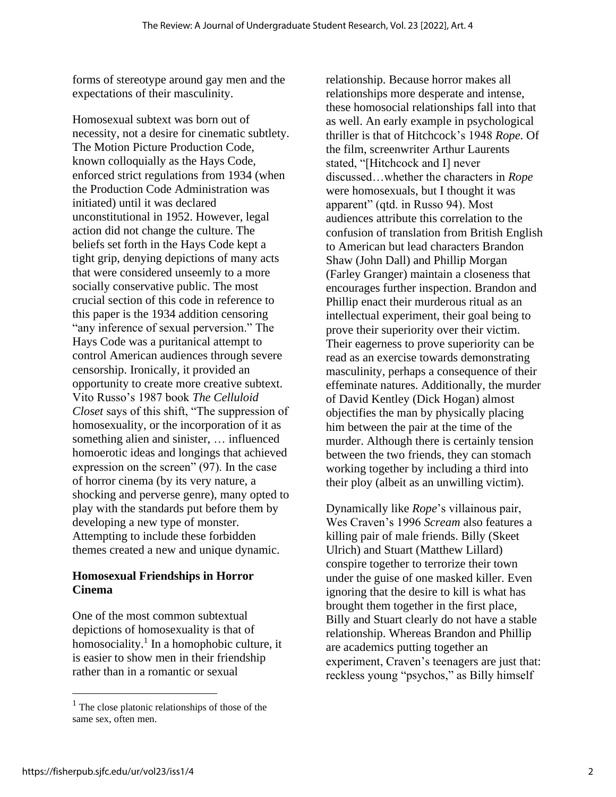forms of stereotype around gay men and the expectations of their masculinity.

Homosexual subtext was born out of necessity, not a desire for cinematic subtlety. The Motion Picture Production Code, known colloquially as the Hays Code, enforced strict regulations from 1934 (when the Production Code Administration was initiated) until it was declared unconstitutional in 1952. However, legal action did not change the culture. The beliefs set forth in the Hays Code kept a tight grip, denying depictions of many acts that were considered unseemly to a more socially conservative public. The most crucial section of this code in reference to this paper is the 1934 addition censoring "any inference of sexual perversion." The Hays Code was a puritanical attempt to control American audiences through severe censorship. Ironically, it provided an opportunity to create more creative subtext. Vito Russo's 1987 book *The Celluloid Closet* says of this shift, "The suppression of homosexuality, or the incorporation of it as something alien and sinister, … influenced homoerotic ideas and longings that achieved expression on the screen" (97). In the case of horror cinema (by its very nature, a shocking and perverse genre), many opted to play with the standards put before them by developing a new type of monster. Attempting to include these forbidden themes created a new and unique dynamic.

#### **Homosexual Friendships in Horror Cinema**

One of the most common subtextual depictions of homosexuality is that of homosociality.<sup>1</sup> In a homophobic culture, it is easier to show men in their friendship rather than in a romantic or sexual

relationship. Because horror makes all relationships more desperate and intense, these homosocial relationships fall into that as well. An early example in psychological thriller is that of Hitchcock's 1948 *Rope*. Of the film, screenwriter Arthur Laurents stated, "[Hitchcock and I] never discussed…whether the characters in *Rope*  were homosexuals, but I thought it was apparent" (qtd. in Russo 94). Most audiences attribute this correlation to the confusion of translation from British English to American but lead characters Brandon Shaw (John Dall) and Phillip Morgan (Farley Granger) maintain a closeness that encourages further inspection. Brandon and Phillip enact their murderous ritual as an intellectual experiment, their goal being to prove their superiority over their victim. Their eagerness to prove superiority can be read as an exercise towards demonstrating masculinity, perhaps a consequence of their effeminate natures. Additionally, the murder of David Kentley (Dick Hogan) almost objectifies the man by physically placing him between the pair at the time of the murder. Although there is certainly tension between the two friends, they can stomach working together by including a third into their ploy (albeit as an unwilling victim).

Dynamically like *Rope*'s villainous pair, Wes Craven's 1996 *Scream* also features a killing pair of male friends. Billy (Skeet Ulrich) and Stuart (Matthew Lillard) conspire together to terrorize their town under the guise of one masked killer. Even ignoring that the desire to kill is what has brought them together in the first place, Billy and Stuart clearly do not have a stable relationship. Whereas Brandon and Phillip are academics putting together an experiment, Craven's teenagers are just that: reckless young "psychos," as Billy himself

 $<sup>1</sup>$  The close platonic relationships of those of the</sup> same sex, often men.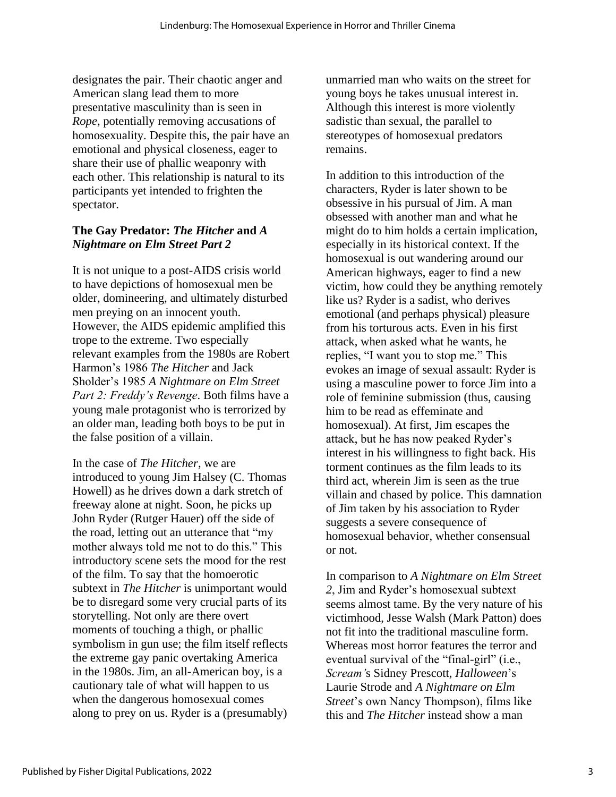designates the pair. Their chaotic anger and American slang lead them to more presentative masculinity than is seen in *Rope*, potentially removing accusations of homosexuality. Despite this, the pair have an emotional and physical closeness, eager to share their use of phallic weaponry with each other. This relationship is natural to its participants yet intended to frighten the spectator.

#### **The Gay Predator:** *The Hitcher* **and** *A Nightmare on Elm Street Part 2*

It is not unique to a post-AIDS crisis world to have depictions of homosexual men be older, domineering, and ultimately disturbed men preying on an innocent youth. However, the AIDS epidemic amplified this trope to the extreme. Two especially relevant examples from the 1980s are Robert Harmon's 1986 *The Hitcher* and Jack Sholder's 1985 *A Nightmare on Elm Street Part 2: Freddy's Revenge*. Both films have a young male protagonist who is terrorized by an older man, leading both boys to be put in the false position of a villain.

In the case of *The Hitcher*, we are introduced to young Jim Halsey (C. Thomas Howell) as he drives down a dark stretch of freeway alone at night. Soon, he picks up John Ryder (Rutger Hauer) off the side of the road, letting out an utterance that "my mother always told me not to do this." This introductory scene sets the mood for the rest of the film. To say that the homoerotic subtext in *The Hitcher* is unimportant would be to disregard some very crucial parts of its storytelling. Not only are there overt moments of touching a thigh, or phallic symbolism in gun use; the film itself reflects the extreme gay panic overtaking America in the 1980s. Jim, an all-American boy, is a cautionary tale of what will happen to us when the dangerous homosexual comes along to prey on us. Ryder is a (presumably)

unmarried man who waits on the street for young boys he takes unusual interest in. Although this interest is more violently sadistic than sexual, the parallel to stereotypes of homosexual predators remains.

In addition to this introduction of the characters, Ryder is later shown to be obsessive in his pursual of Jim. A man obsessed with another man and what he might do to him holds a certain implication, especially in its historical context. If the homosexual is out wandering around our American highways, eager to find a new victim, how could they be anything remotely like us? Ryder is a sadist, who derives emotional (and perhaps physical) pleasure from his torturous acts. Even in his first attack, when asked what he wants, he replies, "I want you to stop me." This evokes an image of sexual assault: Ryder is using a masculine power to force Jim into a role of feminine submission (thus, causing him to be read as effeminate and homosexual). At first, Jim escapes the attack, but he has now peaked Ryder's interest in his willingness to fight back. His torment continues as the film leads to its third act, wherein Jim is seen as the true villain and chased by police. This damnation of Jim taken by his association to Ryder suggests a severe consequence of homosexual behavior, whether consensual or not.

In comparison to *A Nightmare on Elm Street 2*, Jim and Ryder's homosexual subtext seems almost tame. By the very nature of his victimhood, Jesse Walsh (Mark Patton) does not fit into the traditional masculine form. Whereas most horror features the terror and eventual survival of the "final-girl" (i.e., *Scream'*s Sidney Prescott, *Halloween*'s Laurie Strode and *A Nightmare on Elm Street*'s own Nancy Thompson), films like this and *The Hitcher* instead show a man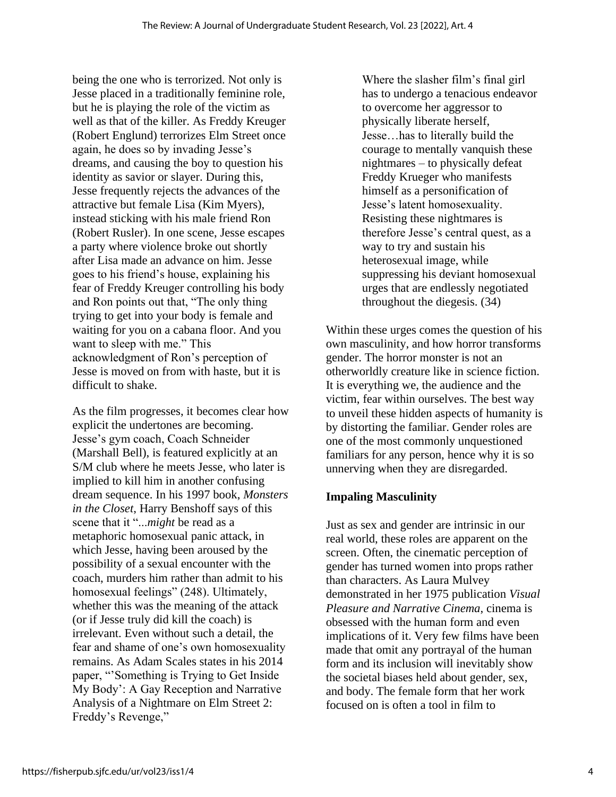being the one who is terrorized. Not only is Jesse placed in a traditionally feminine role, but he is playing the role of the victim as well as that of the killer. As Freddy Kreuger (Robert Englund) terrorizes Elm Street once again, he does so by invading Jesse's dreams, and causing the boy to question his identity as savior or slayer. During this, Jesse frequently rejects the advances of the attractive but female Lisa (Kim Myers), instead sticking with his male friend Ron (Robert Rusler). In one scene, Jesse escapes a party where violence broke out shortly after Lisa made an advance on him. Jesse goes to his friend's house, explaining his fear of Freddy Kreuger controlling his body and Ron points out that, "The only thing trying to get into your body is female and waiting for you on a cabana floor. And you want to sleep with me." This acknowledgment of Ron's perception of Jesse is moved on from with haste, but it is difficult to shake.

As the film progresses, it becomes clear how explicit the undertones are becoming. Jesse's gym coach, Coach Schneider (Marshall Bell), is featured explicitly at an S/M club where he meets Jesse, who later is implied to kill him in another confusing dream sequence. In his 1997 book, *Monsters in the Closet*, Harry Benshoff says of this scene that it "...*might* be read as a metaphoric homosexual panic attack, in which Jesse, having been aroused by the possibility of a sexual encounter with the coach, murders him rather than admit to his homosexual feelings" (248). Ultimately, whether this was the meaning of the attack (or if Jesse truly did kill the coach) is irrelevant. Even without such a detail, the fear and shame of one's own homosexuality remains. As Adam Scales states in his 2014 paper, "'Something is Trying to Get Inside My Body': A Gay Reception and Narrative Analysis of a Nightmare on Elm Street 2: Freddy's Revenge,"

Where the slasher film's final girl has to undergo a tenacious endeavor to overcome her aggressor to physically liberate herself, Jesse…has to literally build the courage to mentally vanquish these nightmares – to physically defeat Freddy Krueger who manifests himself as a personification of Jesse's latent homosexuality. Resisting these nightmares is therefore Jesse's central quest, as a way to try and sustain his heterosexual image, while suppressing his deviant homosexual urges that are endlessly negotiated throughout the diegesis. (34)

Within these urges comes the question of his own masculinity, and how horror transforms gender. The horror monster is not an otherworldly creature like in science fiction. It is everything we, the audience and the victim, fear within ourselves. The best way to unveil these hidden aspects of humanity is by distorting the familiar. Gender roles are one of the most commonly unquestioned familiars for any person, hence why it is so unnerving when they are disregarded.

# **Impaling Masculinity**

Just as sex and gender are intrinsic in our real world, these roles are apparent on the screen. Often, the cinematic perception of gender has turned women into props rather than characters. As Laura Mulvey demonstrated in her 1975 publication *Visual Pleasure and Narrative Cinema*, cinema is obsessed with the human form and even implications of it. Very few films have been made that omit any portrayal of the human form and its inclusion will inevitably show the societal biases held about gender, sex, and body. The female form that her work focused on is often a tool in film to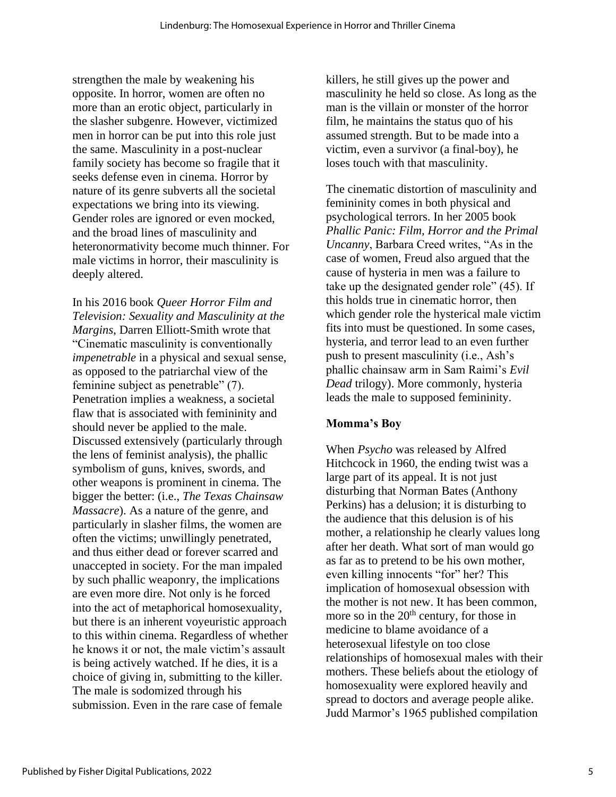strengthen the male by weakening his opposite. In horror, women are often no more than an erotic object, particularly in the slasher subgenre. However, victimized men in horror can be put into this role just the same. Masculinity in a post-nuclear family society has become so fragile that it seeks defense even in cinema. Horror by nature of its genre subverts all the societal expectations we bring into its viewing. Gender roles are ignored or even mocked, and the broad lines of masculinity and heteronormativity become much thinner. For male victims in horror, their masculinity is deeply altered.

In his 2016 book *Queer Horror Film and Television: Sexuality and Masculinity at the Margins*, Darren Elliott-Smith wrote that "Cinematic masculinity is conventionally *impenetrable* in a physical and sexual sense, as opposed to the patriarchal view of the feminine subject as penetrable" (7). Penetration implies a weakness, a societal flaw that is associated with femininity and should never be applied to the male. Discussed extensively (particularly through the lens of feminist analysis), the phallic symbolism of guns, knives, swords, and other weapons is prominent in cinema. The bigger the better: (i.e., *The Texas Chainsaw Massacre*). As a nature of the genre, and particularly in slasher films, the women are often the victims; unwillingly penetrated, and thus either dead or forever scarred and unaccepted in society. For the man impaled by such phallic weaponry, the implications are even more dire. Not only is he forced into the act of metaphorical homosexuality, but there is an inherent voyeuristic approach to this within cinema. Regardless of whether he knows it or not, the male victim's assault is being actively watched. If he dies, it is a choice of giving in, submitting to the killer. The male is sodomized through his submission. Even in the rare case of female

killers, he still gives up the power and masculinity he held so close. As long as the man is the villain or monster of the horror film, he maintains the status quo of his assumed strength. But to be made into a victim, even a survivor (a final-boy), he loses touch with that masculinity.

The cinematic distortion of masculinity and femininity comes in both physical and psychological terrors. In her 2005 book *Phallic Panic: Film, Horror and the Primal Uncanny*, Barbara Creed writes, "As in the case of women, Freud also argued that the cause of hysteria in men was a failure to take up the designated gender role" (45). If this holds true in cinematic horror, then which gender role the hysterical male victim fits into must be questioned. In some cases, hysteria, and terror lead to an even further push to present masculinity (i.e., Ash's phallic chainsaw arm in Sam Raimi's *Evil Dead* trilogy). More commonly, hysteria leads the male to supposed femininity.

# **Momma's Boy**

When *Psycho* was released by Alfred Hitchcock in 1960, the ending twist was a large part of its appeal. It is not just disturbing that Norman Bates (Anthony Perkins) has a delusion; it is disturbing to the audience that this delusion is of his mother, a relationship he clearly values long after her death. What sort of man would go as far as to pretend to be his own mother, even killing innocents "for" her? This implication of homosexual obsession with the mother is not new. It has been common, more so in the  $20<sup>th</sup>$  century, for those in medicine to blame avoidance of a heterosexual lifestyle on too close relationships of homosexual males with their mothers. These beliefs about the etiology of homosexuality were explored heavily and spread to doctors and average people alike. Judd Marmor's 1965 published compilation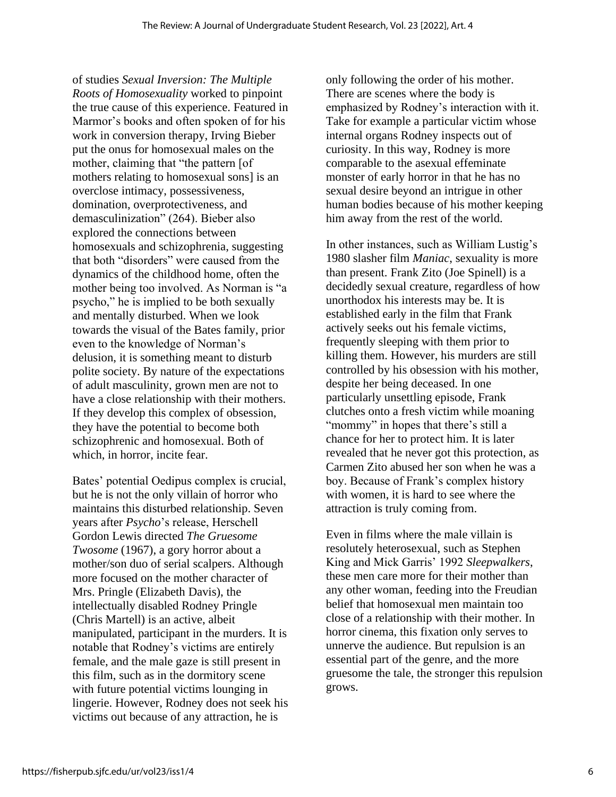of studies *Sexual Inversion: The Multiple Roots of Homosexuality* worked to pinpoint the true cause of this experience. Featured in Marmor's books and often spoken of for his work in conversion therapy, Irving Bieber put the onus for homosexual males on the mother, claiming that "the pattern [of mothers relating to homosexual sons] is an overclose intimacy, possessiveness, domination, overprotectiveness, and demasculinization" (264). Bieber also explored the connections between homosexuals and schizophrenia, suggesting that both "disorders" were caused from the dynamics of the childhood home, often the mother being too involved. As Norman is "a psycho," he is implied to be both sexually and mentally disturbed. When we look towards the visual of the Bates family, prior even to the knowledge of Norman's delusion, it is something meant to disturb polite society. By nature of the expectations of adult masculinity, grown men are not to have a close relationship with their mothers. If they develop this complex of obsession, they have the potential to become both schizophrenic and homosexual. Both of which, in horror, incite fear.

Bates' potential Oedipus complex is crucial, but he is not the only villain of horror who maintains this disturbed relationship. Seven years after *Psycho*'s release, Herschell Gordon Lewis directed *The Gruesome Twosome* (1967), a gory horror about a mother/son duo of serial scalpers. Although more focused on the mother character of Mrs. Pringle (Elizabeth Davis), the intellectually disabled Rodney Pringle (Chris Martell) is an active, albeit manipulated, participant in the murders. It is notable that Rodney's victims are entirely female, and the male gaze is still present in this film, such as in the dormitory scene with future potential victims lounging in lingerie. However, Rodney does not seek his victims out because of any attraction, he is

only following the order of his mother. There are scenes where the body is emphasized by Rodney's interaction with it. Take for example a particular victim whose internal organs Rodney inspects out of curiosity. In this way, Rodney is more comparable to the asexual effeminate monster of early horror in that he has no sexual desire beyond an intrigue in other human bodies because of his mother keeping him away from the rest of the world.

In other instances, such as William Lustig's 1980 slasher film *Maniac*, sexuality is more than present. Frank Zito (Joe Spinell) is a decidedly sexual creature, regardless of how unorthodox his interests may be. It is established early in the film that Frank actively seeks out his female victims, frequently sleeping with them prior to killing them. However, his murders are still controlled by his obsession with his mother, despite her being deceased. In one particularly unsettling episode, Frank clutches onto a fresh victim while moaning "mommy" in hopes that there's still a chance for her to protect him. It is later revealed that he never got this protection, as Carmen Zito abused her son when he was a boy. Because of Frank's complex history with women, it is hard to see where the attraction is truly coming from.

Even in films where the male villain is resolutely heterosexual, such as Stephen King and Mick Garris' 1992 *Sleepwalkers*, these men care more for their mother than any other woman, feeding into the Freudian belief that homosexual men maintain too close of a relationship with their mother. In horror cinema, this fixation only serves to unnerve the audience. But repulsion is an essential part of the genre, and the more gruesome the tale, the stronger this repulsion grows.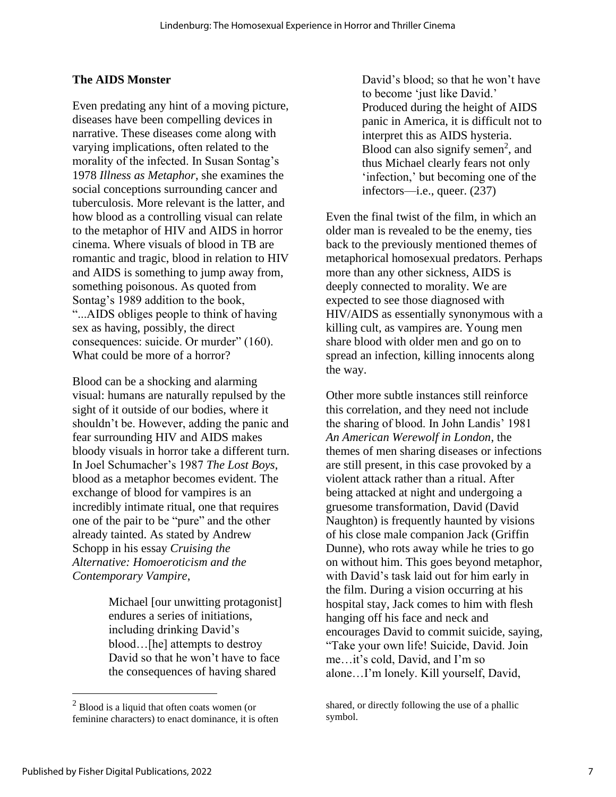### **The AIDS Monster**

Even predating any hint of a moving picture, diseases have been compelling devices in narrative. These diseases come along with varying implications, often related to the morality of the infected. In Susan Sontag's 1978 *Illness as Metaphor*, she examines the social conceptions surrounding cancer and tuberculosis. More relevant is the latter, and how blood as a controlling visual can relate to the metaphor of HIV and AIDS in horror cinema. Where visuals of blood in TB are romantic and tragic, blood in relation to HIV and AIDS is something to jump away from, something poisonous. As quoted from Sontag's 1989 addition to the book, "...AIDS obliges people to think of having sex as having, possibly, the direct consequences: suicide. Or murder" (160). What could be more of a horror?

Blood can be a shocking and alarming visual: humans are naturally repulsed by the sight of it outside of our bodies, where it shouldn't be. However, adding the panic and fear surrounding HIV and AIDS makes bloody visuals in horror take a different turn. In Joel Schumacher's 1987 *The Lost Boys*, blood as a metaphor becomes evident. The exchange of blood for vampires is an incredibly intimate ritual, one that requires one of the pair to be "pure" and the other already tainted. As stated by Andrew Schopp in his essay *Cruising the Alternative: Homoeroticism and the Contemporary Vampire*,

> Michael [our unwitting protagonist] endures a series of initiations, including drinking David's blood…[he] attempts to destroy David so that he won't have to face the consequences of having shared

David's blood; so that he won't have to become 'just like David.' Produced during the height of AIDS panic in America, it is difficult not to interpret this as AIDS hysteria. Blood can also signify semen<sup>2</sup>, and thus Michael clearly fears not only 'infection,' but becoming one of the infectors—i.e., queer. (237)

Even the final twist of the film, in which an older man is revealed to be the enemy, ties back to the previously mentioned themes of metaphorical homosexual predators. Perhaps more than any other sickness, AIDS is deeply connected to morality. We are expected to see those diagnosed with HIV/AIDS as essentially synonymous with a killing cult, as vampires are. Young men share blood with older men and go on to spread an infection, killing innocents along the way.

Other more subtle instances still reinforce this correlation, and they need not include the sharing of blood. In John Landis' 1981 *An American Werewolf in London*, the themes of men sharing diseases or infections are still present, in this case provoked by a violent attack rather than a ritual. After being attacked at night and undergoing a gruesome transformation, David (David Naughton) is frequently haunted by visions of his close male companion Jack (Griffin Dunne), who rots away while he tries to go on without him. This goes beyond metaphor, with David's task laid out for him early in the film. During a vision occurring at his hospital stay, Jack comes to him with flesh hanging off his face and neck and encourages David to commit suicide, saying, "Take your own life! Suicide, David. Join me…it's cold, David, and I'm so alone…I'm lonely. Kill yourself, David,

<sup>2</sup> Blood is a liquid that often coats women (or feminine characters) to enact dominance, it is often

shared, or directly following the use of a phallic symbol.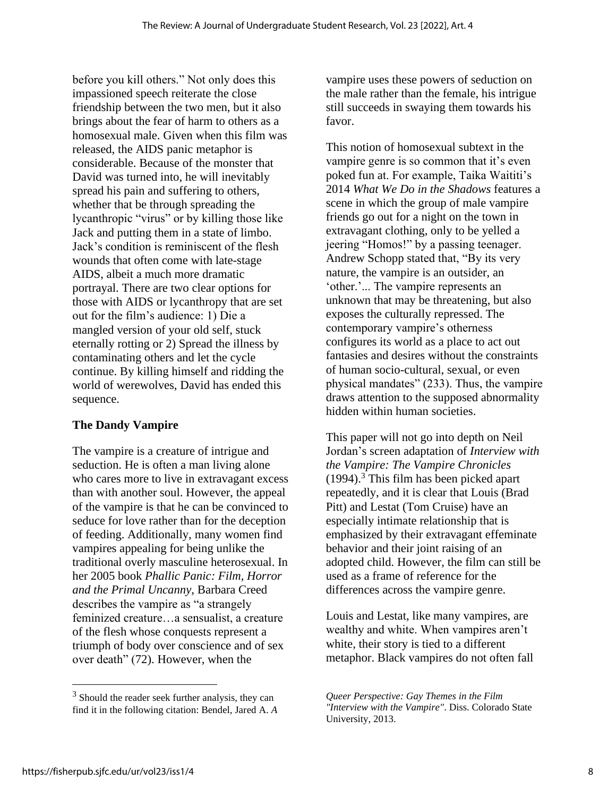before you kill others." Not only does this impassioned speech reiterate the close friendship between the two men, but it also brings about the fear of harm to others as a homosexual male. Given when this film was released, the AIDS panic metaphor is considerable. Because of the monster that David was turned into, he will inevitably spread his pain and suffering to others, whether that be through spreading the lycanthropic "virus" or by killing those like Jack and putting them in a state of limbo. Jack's condition is reminiscent of the flesh wounds that often come with late-stage AIDS, albeit a much more dramatic portrayal. There are two clear options for those with AIDS or lycanthropy that are set out for the film's audience: 1) Die a mangled version of your old self, stuck eternally rotting or 2) Spread the illness by contaminating others and let the cycle continue. By killing himself and ridding the world of werewolves, David has ended this sequence.

# **The Dandy Vampire**

The vampire is a creature of intrigue and seduction. He is often a man living alone who cares more to live in extravagant excess than with another soul. However, the appeal of the vampire is that he can be convinced to seduce for love rather than for the deception of feeding. Additionally, many women find vampires appealing for being unlike the traditional overly masculine heterosexual. In her 2005 book *Phallic Panic: Film, Horror and the Primal Uncanny*, Barbara Creed describes the vampire as "a strangely feminized creature…a sensualist, a creature of the flesh whose conquests represent a triumph of body over conscience and of sex over death" (72). However, when the

vampire uses these powers of seduction on the male rather than the female, his intrigue still succeeds in swaying them towards his favor.

This notion of homosexual subtext in the vampire genre is so common that it's even poked fun at. For example, Taika Waititi's 2014 *What We Do in the Shadows* features a scene in which the group of male vampire friends go out for a night on the town in extravagant clothing, only to be yelled a jeering "Homos!" by a passing teenager. Andrew Schopp stated that, "By its very nature, the vampire is an outsider, an 'other.'... The vampire represents an unknown that may be threatening, but also exposes the culturally repressed. The contemporary vampire's otherness configures its world as a place to act out fantasies and desires without the constraints of human socio-cultural, sexual, or even physical mandates" (233). Thus, the vampire draws attention to the supposed abnormality hidden within human societies.

This paper will not go into depth on Neil Jordan's screen adaptation of *Interview with the Vampire: The Vampire Chronicles*   $(1994)$ .<sup>3</sup> This film has been picked apart repeatedly, and it is clear that Louis (Brad Pitt) and Lestat (Tom Cruise) have an especially intimate relationship that is emphasized by their extravagant effeminate behavior and their joint raising of an adopted child. However, the film can still be used as a frame of reference for the differences across the vampire genre.

Louis and Lestat, like many vampires, are wealthy and white. When vampires aren't white, their story is tied to a different metaphor. Black vampires do not often fall

<sup>&</sup>lt;sup>3</sup> Should the reader seek further analysis, they can find it in the following citation: Bendel, Jared A. *A* 

*Queer Perspective: Gay Themes in the Film "Interview with the Vampire"*. Diss. Colorado State University, 2013.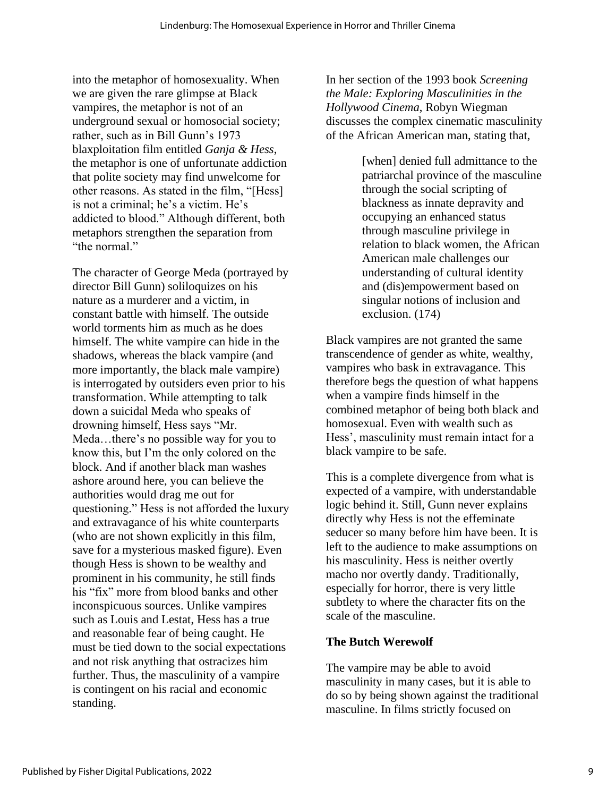into the metaphor of homosexuality. When we are given the rare glimpse at Black vampires, the metaphor is not of an underground sexual or homosocial society; rather, such as in Bill Gunn's 1973 blaxploitation film entitled *Ganja & Hess*, the metaphor is one of unfortunate addiction that polite society may find unwelcome for other reasons. As stated in the film, "[Hess] is not a criminal; he's a victim. He's addicted to blood." Although different, both metaphors strengthen the separation from "the normal."

The character of George Meda (portrayed by director Bill Gunn) soliloquizes on his nature as a murderer and a victim, in constant battle with himself. The outside world torments him as much as he does himself. The white vampire can hide in the shadows, whereas the black vampire (and more importantly, the black male vampire) is interrogated by outsiders even prior to his transformation. While attempting to talk down a suicidal Meda who speaks of drowning himself, Hess says "Mr. Meda…there's no possible way for you to know this, but I'm the only colored on the block. And if another black man washes ashore around here, you can believe the authorities would drag me out for questioning." Hess is not afforded the luxury and extravagance of his white counterparts (who are not shown explicitly in this film, save for a mysterious masked figure). Even though Hess is shown to be wealthy and prominent in his community, he still finds his "fix" more from blood banks and other inconspicuous sources. Unlike vampires such as Louis and Lestat, Hess has a true and reasonable fear of being caught. He must be tied down to the social expectations and not risk anything that ostracizes him further. Thus, the masculinity of a vampire is contingent on his racial and economic standing.

In her section of the 1993 book *Screening the Male: Exploring Masculinities in the Hollywood Cinema*, Robyn Wiegman discusses the complex cinematic masculinity of the African American man, stating that,

> [when] denied full admittance to the patriarchal province of the masculine through the social scripting of blackness as innate depravity and occupying an enhanced status through masculine privilege in relation to black women, the African American male challenges our understanding of cultural identity and (dis)empowerment based on singular notions of inclusion and exclusion. (174)

Black vampires are not granted the same transcendence of gender as white, wealthy, vampires who bask in extravagance. This therefore begs the question of what happens when a vampire finds himself in the combined metaphor of being both black and homosexual. Even with wealth such as Hess', masculinity must remain intact for a black vampire to be safe.

This is a complete divergence from what is expected of a vampire, with understandable logic behind it. Still, Gunn never explains directly why Hess is not the effeminate seducer so many before him have been. It is left to the audience to make assumptions on his masculinity. Hess is neither overtly macho nor overtly dandy. Traditionally, especially for horror, there is very little subtlety to where the character fits on the scale of the masculine.

# **The Butch Werewolf**

The vampire may be able to avoid masculinity in many cases, but it is able to do so by being shown against the traditional masculine. In films strictly focused on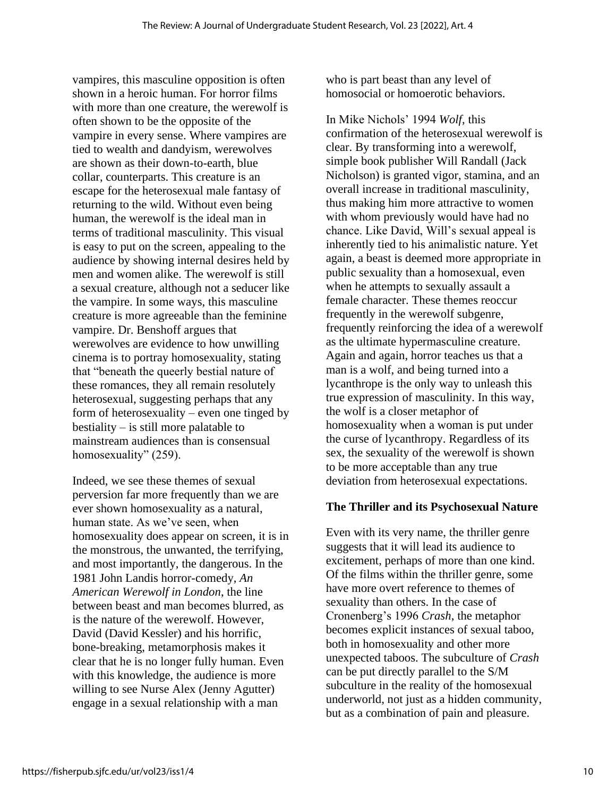vampires, this masculine opposition is often shown in a heroic human. For horror films with more than one creature, the werewolf is often shown to be the opposite of the vampire in every sense. Where vampires are tied to wealth and dandyism, werewolves are shown as their down-to-earth, blue collar, counterparts. This creature is an escape for the heterosexual male fantasy of returning to the wild. Without even being human, the werewolf is the ideal man in terms of traditional masculinity. This visual is easy to put on the screen, appealing to the audience by showing internal desires held by men and women alike. The werewolf is still a sexual creature, although not a seducer like the vampire. In some ways, this masculine creature is more agreeable than the feminine vampire. Dr. Benshoff argues that werewolves are evidence to how unwilling cinema is to portray homosexuality, stating that "beneath the queerly bestial nature of these romances, they all remain resolutely heterosexual, suggesting perhaps that any form of heterosexuality – even one tinged by bestiality – is still more palatable to mainstream audiences than is consensual homosexuality" (259).

Indeed, we see these themes of sexual perversion far more frequently than we are ever shown homosexuality as a natural, human state. As we've seen, when homosexuality does appear on screen, it is in the monstrous, the unwanted, the terrifying, and most importantly, the dangerous. In the 1981 John Landis horror-comedy, *An American Werewolf in London*, the line between beast and man becomes blurred, as is the nature of the werewolf. However, David (David Kessler) and his horrific, bone-breaking, metamorphosis makes it clear that he is no longer fully human. Even with this knowledge, the audience is more willing to see Nurse Alex (Jenny Agutter) engage in a sexual relationship with a man

who is part beast than any level of homosocial or homoerotic behaviors.

In Mike Nichols' 1994 *Wolf*, this confirmation of the heterosexual werewolf is clear. By transforming into a werewolf, simple book publisher Will Randall (Jack Nicholson) is granted vigor, stamina, and an overall increase in traditional masculinity, thus making him more attractive to women with whom previously would have had no chance. Like David, Will's sexual appeal is inherently tied to his animalistic nature. Yet again, a beast is deemed more appropriate in public sexuality than a homosexual, even when he attempts to sexually assault a female character. These themes reoccur frequently in the werewolf subgenre, frequently reinforcing the idea of a werewolf as the ultimate hypermasculine creature. Again and again, horror teaches us that a man is a wolf, and being turned into a lycanthrope is the only way to unleash this true expression of masculinity. In this way, the wolf is a closer metaphor of homosexuality when a woman is put under the curse of lycanthropy. Regardless of its sex, the sexuality of the werewolf is shown to be more acceptable than any true deviation from heterosexual expectations.

#### **The Thriller and its Psychosexual Nature**

Even with its very name, the thriller genre suggests that it will lead its audience to excitement, perhaps of more than one kind. Of the films within the thriller genre, some have more overt reference to themes of sexuality than others. In the case of Cronenberg's 1996 *Crash*, the metaphor becomes explicit instances of sexual taboo, both in homosexuality and other more unexpected taboos. The subculture of *Crash*  can be put directly parallel to the S/M subculture in the reality of the homosexual underworld, not just as a hidden community, but as a combination of pain and pleasure.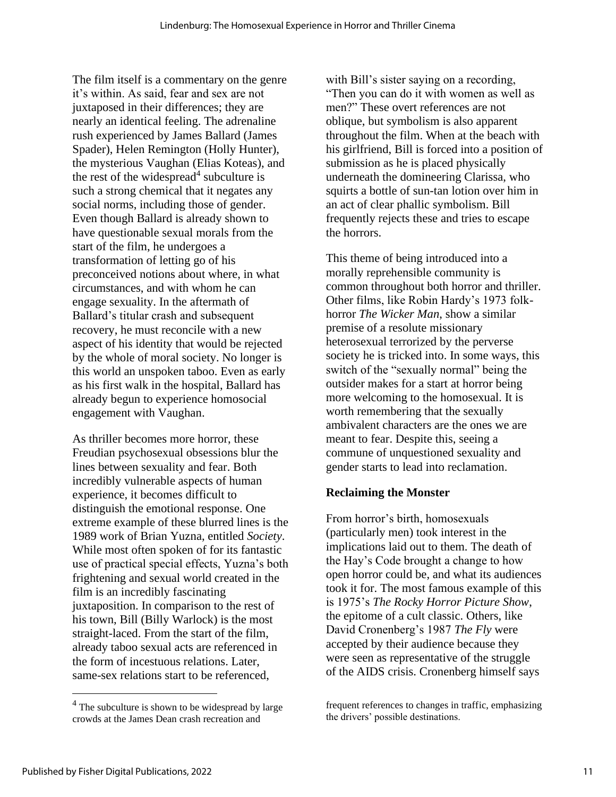The film itself is a commentary on the genre it's within. As said, fear and sex are not juxtaposed in their differences; they are nearly an identical feeling. The adrenaline rush experienced by James Ballard (James Spader), Helen Remington (Holly Hunter), the mysterious Vaughan (Elias Koteas), and the rest of the widespread<sup>4</sup> subculture is such a strong chemical that it negates any social norms, including those of gender. Even though Ballard is already shown to have questionable sexual morals from the start of the film, he undergoes a transformation of letting go of his preconceived notions about where, in what circumstances, and with whom he can engage sexuality. In the aftermath of Ballard's titular crash and subsequent recovery, he must reconcile with a new aspect of his identity that would be rejected by the whole of moral society. No longer is this world an unspoken taboo. Even as early as his first walk in the hospital, Ballard has already begun to experience homosocial engagement with Vaughan.

As thriller becomes more horror, these Freudian psychosexual obsessions blur the lines between sexuality and fear. Both incredibly vulnerable aspects of human experience, it becomes difficult to distinguish the emotional response. One extreme example of these blurred lines is the 1989 work of Brian Yuzna, entitled *Society*. While most often spoken of for its fantastic use of practical special effects, Yuzna's both frightening and sexual world created in the film is an incredibly fascinating juxtaposition. In comparison to the rest of his town, Bill (Billy Warlock) is the most straight-laced. From the start of the film, already taboo sexual acts are referenced in the form of incestuous relations. Later, same-sex relations start to be referenced,

with Bill's sister saying on a recording, "Then you can do it with women as well as men?" These overt references are not oblique, but symbolism is also apparent throughout the film. When at the beach with his girlfriend, Bill is forced into a position of submission as he is placed physically underneath the domineering Clarissa, who squirts a bottle of sun-tan lotion over him in an act of clear phallic symbolism. Bill frequently rejects these and tries to escape the horrors.

This theme of being introduced into a morally reprehensible community is common throughout both horror and thriller. Other films, like Robin Hardy's 1973 folkhorror *The Wicker Man*, show a similar premise of a resolute missionary heterosexual terrorized by the perverse society he is tricked into. In some ways, this switch of the "sexually normal" being the outsider makes for a start at horror being more welcoming to the homosexual. It is worth remembering that the sexually ambivalent characters are the ones we are meant to fear. Despite this, seeing a commune of unquestioned sexuality and gender starts to lead into reclamation.

# **Reclaiming the Monster**

From horror's birth, homosexuals (particularly men) took interest in the implications laid out to them. The death of the Hay's Code brought a change to how open horror could be, and what its audiences took it for. The most famous example of this is 1975's *The Rocky Horror Picture Show*, the epitome of a cult classic. Others, like David Cronenberg's 1987 *The Fly* were accepted by their audience because they were seen as representative of the struggle of the AIDS crisis. Cronenberg himself says

 $<sup>4</sup>$  The subculture is shown to be widespread by large</sup> crowds at the James Dean crash recreation and

frequent references to changes in traffic, emphasizing the drivers' possible destinations.